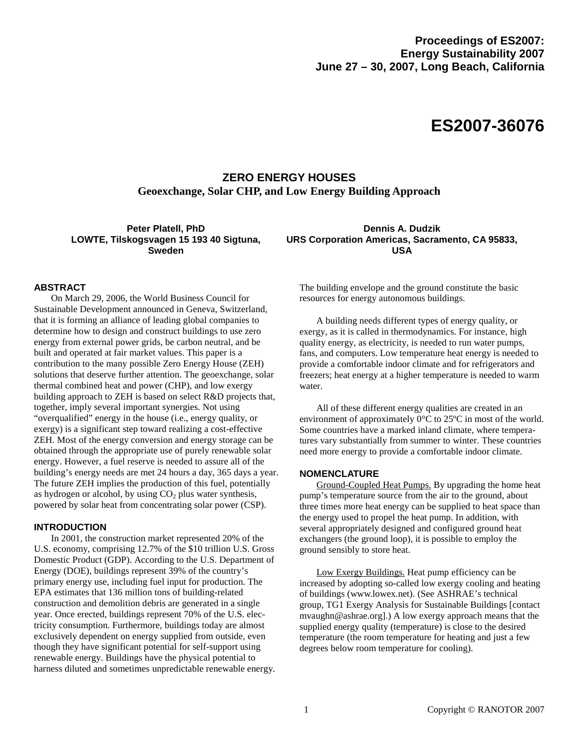# **ES2007-36076**

# **ZERO ENERGY HOUSES Geoexchange, Solar CHP, and Low Energy Building Approach**

**Peter Platell, PhD LOWTE, Tilskogsvagen 15 193 40 Sigtuna, Sweden** 

**Dennis A. Dudzik URS Corporation Americas, Sacramento, CA 95833, USA** 

#### **ABSTRACT**

On March 29, 2006, the World Business Council for Sustainable Development announced in Geneva, Switzerland, that it is forming an alliance of leading global companies to determine how to design and construct buildings to use zero energy from external power grids, be carbon neutral, and be built and operated at fair market values. This paper is a contribution to the many possible Zero Energy House (ZEH) solutions that deserve further attention. The geoexchange, solar thermal combined heat and power (CHP), and low exergy building approach to ZEH is based on select R&D projects that, together, imply several important synergies. Not using "overqualified" energy in the house (i.e., energy quality, or exergy) is a significant step toward realizing a cost-effective ZEH. Most of the energy conversion and energy storage can be obtained through the appropriate use of purely renewable solar energy. However, a fuel reserve is needed to assure all of the building's energy needs are met 24 hours a day, 365 days a year. The future ZEH implies the production of this fuel, potentially as hydrogen or alcohol, by using  $CO<sub>2</sub>$  plus water synthesis, powered by solar heat from concentrating solar power (CSP).

#### **INTRODUCTION**

In 2001, the construction market represented 20% of the U.S. economy, comprising 12.7% of the \$10 trillion U.S. Gross Domestic Product (GDP). According to the U.S. Department of Energy (DOE), buildings represent 39% of the country's primary energy use, including fuel input for production. The EPA estimates that 136 million tons of building-related construction and demolition debris are generated in a single year. Once erected, buildings represent 70% of the U.S. electricity consumption. Furthermore, buildings today are almost exclusively dependent on energy supplied from outside, even though they have significant potential for self-support using renewable energy. Buildings have the physical potential to harness diluted and sometimes unpredictable renewable energy. The building envelope and the ground constitute the basic resources for energy autonomous buildings.

A building needs different types of energy quality, or exergy, as it is called in thermodynamics. For instance, high quality energy, as electricity, is needed to run water pumps, fans, and computers. Low temperature heat energy is needed to provide a comfortable indoor climate and for refrigerators and freezers; heat energy at a higher temperature is needed to warm water.

All of these different energy qualities are created in an environment of approximately  $0^{\circ}$ C to 25<sup>o</sup>C in most of the world. Some countries have a marked inland climate, where temperatures vary substantially from summer to winter. These countries need more energy to provide a comfortable indoor climate.

#### **NOMENCLATURE**

Ground-Coupled Heat Pumps. By upgrading the home heat pump's temperature source from the air to the ground, about three times more heat energy can be supplied to heat space than the energy used to propel the heat pump. In addition, with several appropriately designed and configured ground heat exchangers (the ground loop), it is possible to employ the ground sensibly to store heat.

Low Exergy Buildings. Heat pump efficiency can be increased by adopting so-called low exergy cooling and heating of buildings (www.lowex.net). (See ASHRAE's technical group, TG1 Exergy Analysis for Sustainable Buildings [contact mvaughn@ashrae.org].) A low exergy approach means that the supplied energy quality (temperature) is close to the desired temperature (the room temperature for heating and just a few degrees below room temperature for cooling).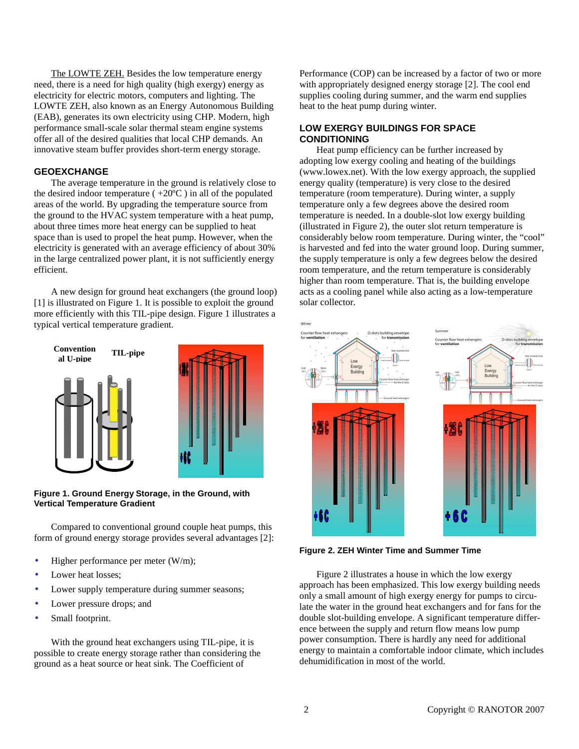The LOWTE ZEH. Besides the low temperature energy need, there is a need for high quality (high exergy) energy as electricity for electric motors, computers and lighting. The LOWTE ZEH, also known as an Energy Autonomous Building (EAB), generates its own electricity using CHP. Modern, high performance small-scale solar thermal steam engine systems offer all of the desired qualities that local CHP demands. An innovative steam buffer provides short-term energy storage.

#### **GEOEXCHANGE**

The average temperature in the ground is relatively close to the desired indoor temperature  $(+20^{\circ}\text{C})$  in all of the populated areas of the world. By upgrading the temperature source from the ground to the HVAC system temperature with a heat pump, about three times more heat energy can be supplied to heat space than is used to propel the heat pump. However, when the electricity is generated with an average efficiency of about 30% in the large centralized power plant, it is not sufficiently energy efficient.

A new design for ground heat exchangers (the ground loop) [1] is illustrated on Figure 1. It is possible to exploit the ground more efficiently with this TIL-pipe design. Figure 1 illustrates a typical vertical temperature gradient.



**Figure 1. Ground Energy Storage, in the Ground, with Vertical Temperature Gradient** 

Compared to conventional ground couple heat pumps, this form of ground energy storage provides several advantages [2]:

- Higher performance per meter (W/m);
- Lower heat losses:
- Lower supply temperature during summer seasons;
- Lower pressure drops; and
- Small footprint.

With the ground heat exchangers using TIL-pipe, it is possible to create energy storage rather than considering the ground as a heat source or heat sink. The Coefficient of

Performance (COP) can be increased by a factor of two or more with appropriately designed energy storage [2]. The cool end supplies cooling during summer, and the warm end supplies heat to the heat pump during winter.

#### **LOW EXERGY BUILDINGS FOR SPACE CONDITIONING**

Heat pump efficiency can be further increased by adopting low exergy cooling and heating of the buildings (www.lowex.net). With the low exergy approach, the supplied energy quality (temperature) is very close to the desired temperature (room temperature). During winter, a supply temperature only a few degrees above the desired room temperature is needed. In a double-slot low exergy building (illustrated in Figure 2), the outer slot return temperature is considerably below room temperature. During winter, the "cool" is harvested and fed into the water ground loop. During summer, the supply temperature is only a few degrees below the desired room temperature, and the return temperature is considerably higher than room temperature. That is, the building envelope acts as a cooling panel while also acting as a low-temperature solar collector.



**Figure 2. ZEH Winter Time and Summer Time** 

Figure 2 illustrates a house in which the low exergy approach has been emphasized. This low exergy building needs only a small amount of high exergy energy for pumps to circulate the water in the ground heat exchangers and for fans for the double slot-building envelope. A significant temperature difference between the supply and return flow means low pump power consumption. There is hardly any need for additional energy to maintain a comfortable indoor climate, which includes dehumidification in most of the world.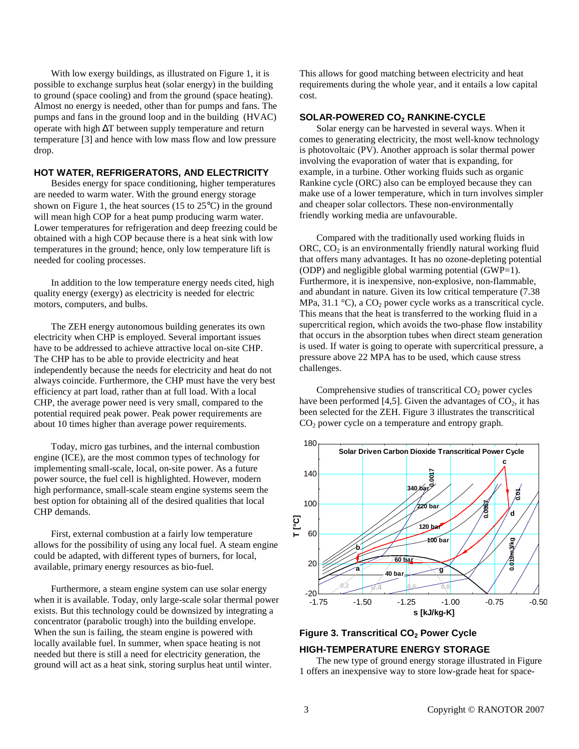With low exergy buildings, as illustrated on Figure 1, it is possible to exchange surplus heat (solar energy) in the building to ground (space cooling) and from the ground (space heating). Almost no energy is needed, other than for pumps and fans. The pumps and fans in the ground loop and in the building (HVAC) operate with high ∆T between supply temperature and return temperature [3] and hence with low mass flow and low pressure drop.

#### **HOT WATER, REFRIGERATORS, AND ELECTRICITY**

Besides energy for space conditioning, higher temperatures are needed to warm water. With the ground energy storage shown on Figure 1, the heat sources (15 to  $25^{\circ}$ C) in the ground will mean high COP for a heat pump producing warm water. Lower temperatures for refrigeration and deep freezing could be obtained with a high COP because there is a heat sink with low temperatures in the ground; hence, only low temperature lift is needed for cooling processes.

In addition to the low temperature energy needs cited, high quality energy (exergy) as electricity is needed for electric motors, computers, and bulbs.

The ZEH energy autonomous building generates its own electricity when CHP is employed. Several important issues have to be addressed to achieve attractive local on-site CHP. The CHP has to be able to provide electricity and heat independently because the needs for electricity and heat do not always coincide. Furthermore, the CHP must have the very best efficiency at part load, rather than at full load. With a local CHP, the average power need is very small, compared to the potential required peak power. Peak power requirements are about 10 times higher than average power requirements.

Today, micro gas turbines, and the internal combustion engine (ICE), are the most common types of technology for implementing small-scale, local, on-site power. As a future power source, the fuel cell is highlighted. However, modern high performance, small-scale steam engine systems seem the best option for obtaining all of the desired qualities that local CHP demands.

First, external combustion at a fairly low temperature allows for the possibility of using any local fuel. A steam engine could be adapted, with different types of burners, for local, available, primary energy resources as bio-fuel.

Furthermore, a steam engine system can use solar energy when it is available. Today, only large-scale solar thermal power exists. But this technology could be downsized by integrating a concentrator (parabolic trough) into the building envelope. When the sun is failing, the steam engine is powered with locally available fuel. In summer, when space heating is not needed but there is still a need for electricity generation, the ground will act as a heat sink, storing surplus heat until winter.

This allows for good matching between electricity and heat requirements during the whole year, and it entails a low capital cost.

#### **SOLAR-POWERED CO2 RANKINE-CYCLE**

Solar energy can be harvested in several ways. When it comes to generating electricity, the most well-know technology is photovoltaic (PV). Another approach is solar thermal power involving the evaporation of water that is expanding, for example, in a turbine. Other working fluids such as organic Rankine cycle (ORC) also can be employed because they can make use of a lower temperature, which in turn involves simpler and cheaper solar collectors. These non-environmentally friendly working media are unfavourable.

Compared with the traditionally used working fluids in ORC,  $CO<sub>2</sub>$  is an environmentally friendly natural working fluid that offers many advantages. It has no ozone-depleting potential (ODP) and negligible global warming potential  $(GWP=1)$ . Furthermore, it is inexpensive, non-explosive, non-flammable, and abundant in nature. Given its low critical temperature (7.38 MPa, 31.1 °C), a  $CO_2$  power cycle works as a transcritical cycle. This means that the heat is transferred to the working fluid in a supercritical region, which avoids the two-phase flow instability that occurs in the absorption tubes when direct steam generation is used. If water is going to operate with supercritical pressure, a pressure above 22 MPA has to be used, which cause stress challenges.

Comprehensive studies of transcritical  $CO<sub>2</sub>$  power cycles have been performed [4,5]. Given the advantages of  $CO<sub>2</sub>$ , it has been selected for the ZEH. Figure 3 illustrates the transcritical  $CO<sub>2</sub>$  power cycle on a temperature and entropy graph.



## **Figure 3. Transcritical CO2 Power Cycle**

# **HIGH-TEMPERATURE ENERGY STORAGE**

The new type of ground energy storage illustrated in Figure 1 offers an inexpensive way to store low-grade heat for space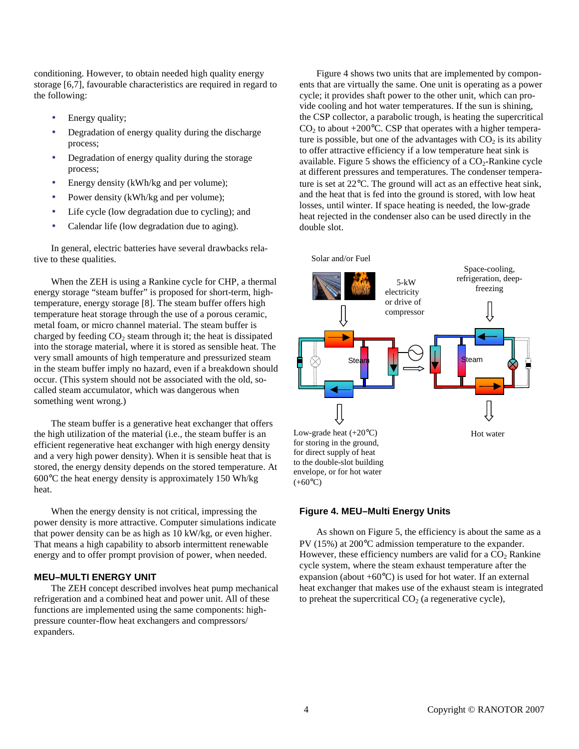conditioning. However, to obtain needed high quality energy storage [6,7], favourable characteristics are required in regard to the following:

- Energy quality;
- Degradation of energy quality during the discharge process;
- Degradation of energy quality during the storage process;
- Energy density (kWh/kg and per volume);
- Power density (kWh/kg and per volume);
- Life cycle (low degradation due to cycling); and
- Calendar life (low degradation due to aging).

In general, electric batteries have several drawbacks relative to these qualities.

When the ZEH is using a Rankine cycle for CHP, a thermal energy storage "steam buffer" is proposed for short-term, hightemperature, energy storage [8]. The steam buffer offers high temperature heat storage through the use of a porous ceramic, metal foam, or micro channel material. The steam buffer is charged by feeding  $CO<sub>2</sub>$  steam through it; the heat is dissipated into the storage material, where it is stored as sensible heat. The very small amounts of high temperature and pressurized steam in the steam buffer imply no hazard, even if a breakdown should occur. (This system should not be associated with the old, socalled steam accumulator, which was dangerous when something went wrong.)

The steam buffer is a generative heat exchanger that offers the high utilization of the material (i.e., the steam buffer is an efficient regenerative heat exchanger with high energy density and a very high power density). When it is sensible heat that is stored, the energy density depends on the stored temperature. At 600°C the heat energy density is approximately 150 Wh/kg heat.

When the energy density is not critical, impressing the power density is more attractive. Computer simulations indicate that power density can be as high as 10 kW/kg, or even higher. That means a high capability to absorb intermittent renewable energy and to offer prompt provision of power, when needed.

#### **MEU–MULTI ENERGY UNIT**

The ZEH concept described involves heat pump mechanical refrigeration and a combined heat and power unit. All of these functions are implemented using the same components: highpressure counter-flow heat exchangers and compressors/ expanders.

Figure 4 shows two units that are implemented by components that are virtually the same. One unit is operating as a power cycle; it provides shaft power to the other unit, which can provide cooling and hot water temperatures. If the sun is shining, the CSP collector, a parabolic trough, is heating the supercritical  $CO<sub>2</sub>$  to about +200 $^{\circ}$ C. CSP that operates with a higher temperature is possible, but one of the advantages with  $CO<sub>2</sub>$  is its ability to offer attractive efficiency if a low temperature heat sink is available. Figure 5 shows the efficiency of a  $CO<sub>2</sub>$ -Rankine cycle at different pressures and temperatures. The condenser temperature is set at 22°C. The ground will act as an effective heat sink, and the heat that is fed into the ground is stored, with low heat losses, until winter. If space heating is needed, the low-grade heat rejected in the condenser also can be used directly in the double slot.



# **Figure 4. MEU–Multi Energy Units**

As shown on Figure 5, the efficiency is about the same as a PV (15%) at 200°C admission temperature to the expander. However, these efficiency numbers are valid for a  $CO<sub>2</sub>$  Rankine cycle system, where the steam exhaust temperature after the expansion (about  $+60^{\circ}$ C) is used for hot water. If an external heat exchanger that makes use of the exhaust steam is integrated to preheat the supercritical  $CO<sub>2</sub>$  (a regenerative cycle),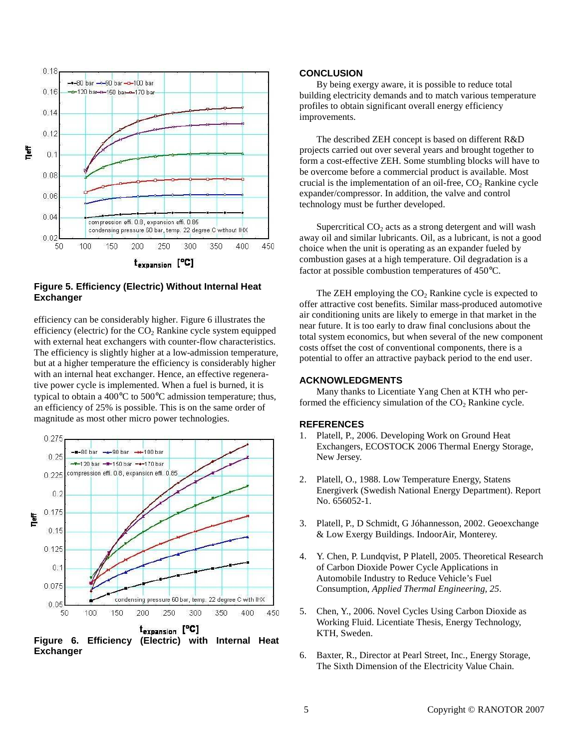

## **Figure 5. Efficiency (Electric) Without Internal Heat Exchanger**

efficiency can be considerably higher. Figure 6 illustrates the efficiency (electric) for the  $CO<sub>2</sub>$  Rankine cycle system equipped with external heat exchangers with counter-flow characteristics. The efficiency is slightly higher at a low-admission temperature, but at a higher temperature the efficiency is considerably higher with an internal heat exchanger. Hence, an effective regenerative power cycle is implemented. When a fuel is burned, it is typical to obtain a 400°C to 500°C admission temperature; thus, an efficiency of 25% is possible. This is on the same order of magnitude as most other micro power technologies.



**Exchanger** 

## **CONCLUSION**

By being exergy aware, it is possible to reduce total building electricity demands and to match various temperature profiles to obtain significant overall energy efficiency improvements.

The described ZEH concept is based on different R&D projects carried out over several years and brought together to form a cost-effective ZEH. Some stumbling blocks will have to be overcome before a commercial product is available. Most crucial is the implementation of an oil-free,  $CO<sub>2</sub>$  Rankine cycle expander/compressor. In addition, the valve and control technology must be further developed.

Supercritical  $CO<sub>2</sub>$  acts as a strong detergent and will wash away oil and similar lubricants. Oil, as a lubricant, is not a good choice when the unit is operating as an expander fueled by combustion gases at a high temperature. Oil degradation is a factor at possible combustion temperatures of 450°C.

The ZEH employing the  $CO<sub>2</sub>$  Rankine cycle is expected to offer attractive cost benefits. Similar mass-produced automotive air conditioning units are likely to emerge in that market in the near future. It is too early to draw final conclusions about the total system economics, but when several of the new component costs offset the cost of conventional components, there is a potential to offer an attractive payback period to the end user.

#### **ACKNOWLEDGMENTS**

Many thanks to Licentiate Yang Chen at KTH who performed the efficiency simulation of the  $CO<sub>2</sub>$  Rankine cycle.

#### **REFERENCES**

- 1. Platell, P., 2006. Developing Work on Ground Heat Exchangers, ECOSTOCK 2006 Thermal Energy Storage, New Jersey.
- 2. Platell, O., 1988. Low Temperature Energy, Statens Energiverk (Swedish National Energy Department). Report No. 656052-1.
- 3. Platell, P., D Schmidt, G Jóhannesson, 2002. Geoexchange & Low Exergy Buildings. IndoorAir, Monterey.
- 4. Y. Chen, P. Lundqvist, P Platell, 2005. Theoretical Research of Carbon Dioxide Power Cycle Applications in Automobile Industry to Reduce Vehicle's Fuel Consumption, *Applied Thermal Engineering, 25*.
- 5. Chen, Y., 2006. Novel Cycles Using Carbon Dioxide as Working Fluid. Licentiate Thesis, Energy Technology, KTH, Sweden.
- 6. Baxter, R., Director at Pearl Street, Inc., Energy Storage, The Sixth Dimension of the Electricity Value Chain.